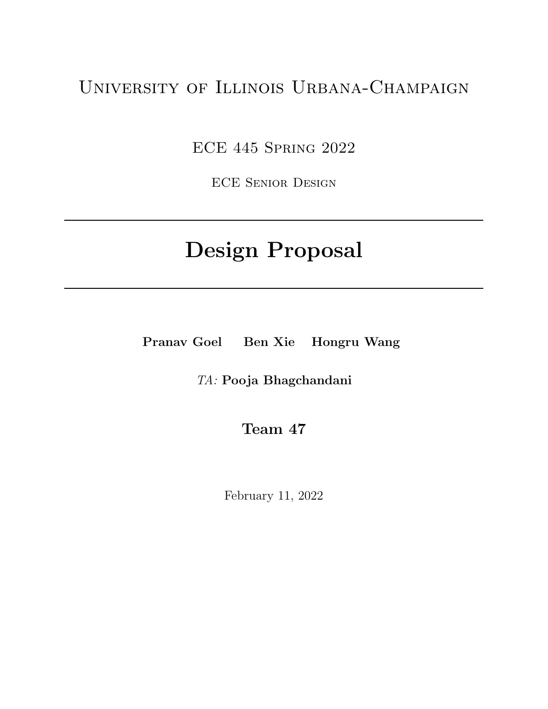## University of Illinois Urbana-Champaign

ECE 445 Spring 2022

ECE Senior Design

# Design Proposal

Pranav Goel Ben Xie Hongru Wang

TA: Pooja Bhagchandani

Team 47

February 11, 2022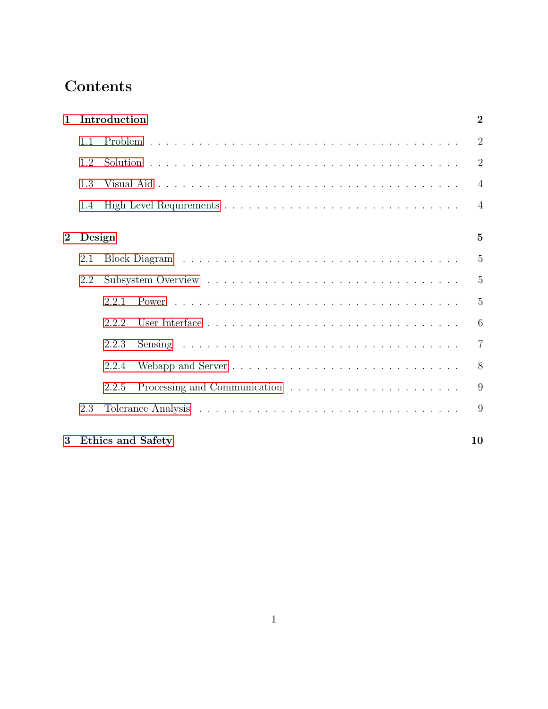## Contents

| $\mathbf{1}$ |        | Introduction             | $\overline{2}$ |
|--------------|--------|--------------------------|----------------|
|              | 1.1    |                          | $\overline{2}$ |
|              | 1.2    |                          | $\overline{2}$ |
|              | 1.3    |                          | $\overline{4}$ |
|              | 1.4    |                          | $\overline{4}$ |
| $\bf{2}$     | Design |                          | $\mathbf{5}$   |
|              | 2.1    |                          | 5              |
|              | 2.2    |                          | $\overline{5}$ |
|              |        | 2.2.1                    | $\overline{5}$ |
|              |        | 2.2.2                    | 6              |
|              |        | 2.2.3                    | $\overline{7}$ |
|              |        | 2.2.4                    | 8              |
|              |        | 2.2.5                    | 9              |
|              | 2.3    |                          | 9              |
| 3            |        | <b>Ethics and Safety</b> | 10             |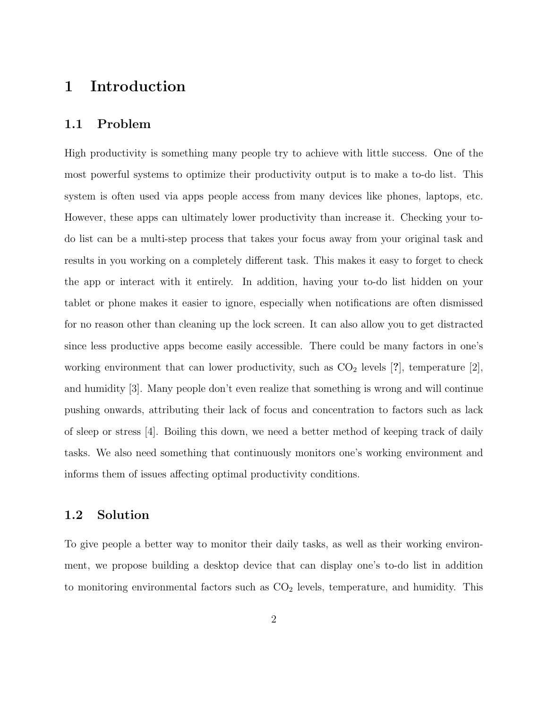## <span id="page-2-0"></span>1 Introduction

### <span id="page-2-1"></span>1.1 Problem

High productivity is something many people try to achieve with little success. One of the most powerful systems to optimize their productivity output is to make a to-do list. This system is often used via apps people access from many devices like phones, laptops, etc. However, these apps can ultimately lower productivity than increase it. Checking your todo list can be a multi-step process that takes your focus away from your original task and results in you working on a completely different task. This makes it easy to forget to check the app or interact with it entirely. In addition, having your to-do list hidden on your tablet or phone makes it easier to ignore, especially when notifications are often dismissed for no reason other than cleaning up the lock screen. It can also allow you to get distracted since less productive apps become easily accessible. There could be many factors in one's working environment that can lower productivity, such as  $CO<sub>2</sub>$  levels [?], temperature [2], and humidity [3]. Many people don't even realize that something is wrong and will continue pushing onwards, attributing their lack of focus and concentration to factors such as lack of sleep or stress [4]. Boiling this down, we need a better method of keeping track of daily tasks. We also need something that continuously monitors one's working environment and informs them of issues affecting optimal productivity conditions.

#### <span id="page-2-2"></span>1.2 Solution

To give people a better way to monitor their daily tasks, as well as their working environment, we propose building a desktop device that can display one's to-do list in addition to monitoring environmental factors such as  $CO<sub>2</sub>$  levels, temperature, and humidity. This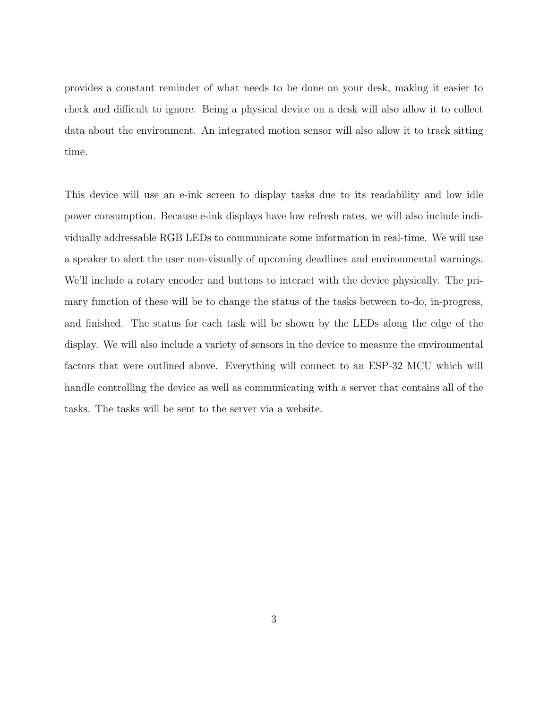provides a constant reminder of what needs to be done on your desk, making it easier to check and difficult to ignore. Being a physical device on a desk will also allow it to collect data about the environment. An integrated motion sensor will also allow it to track sitting time.

This device will use an e-ink screen to display tasks due to its readability and low idle power consumption. Because e-ink displays have low refresh rates, we will also include individually addressable RGB LEDs to communicate some information in real-time. We will use a speaker to alert the user non-visually of upcoming deadlines and environmental warnings. We'll include a rotary encoder and buttons to interact with the device physically. The primary function of these will be to change the status of the tasks between to-do, in-progress, and finished. The status for each task will be shown by the LEDs along the edge of the display. We will also include a variety of sensors in the device to measure the environmental factors that were outlined above. Everything will connect to an ESP-32 MCU which will handle controlling the device as well as communicating with a server that contains all of the tasks. The tasks will be sent to the server via a website.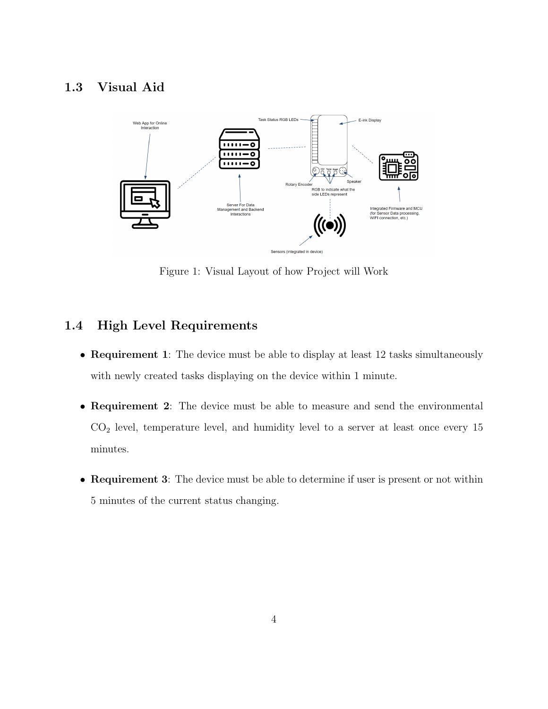## <span id="page-4-0"></span>1.3 Visual Aid



Figure 1: Visual Layout of how Project will Work

## <span id="page-4-1"></span>1.4 High Level Requirements

- Requirement 1: The device must be able to display at least 12 tasks simultaneously with newly created tasks displaying on the device within 1 minute.
- Requirement 2: The device must be able to measure and send the environmental  $CO<sub>2</sub>$  level, temperature level, and humidity level to a server at least once every 15 minutes.
- Requirement 3: The device must be able to determine if user is present or not within 5 minutes of the current status changing.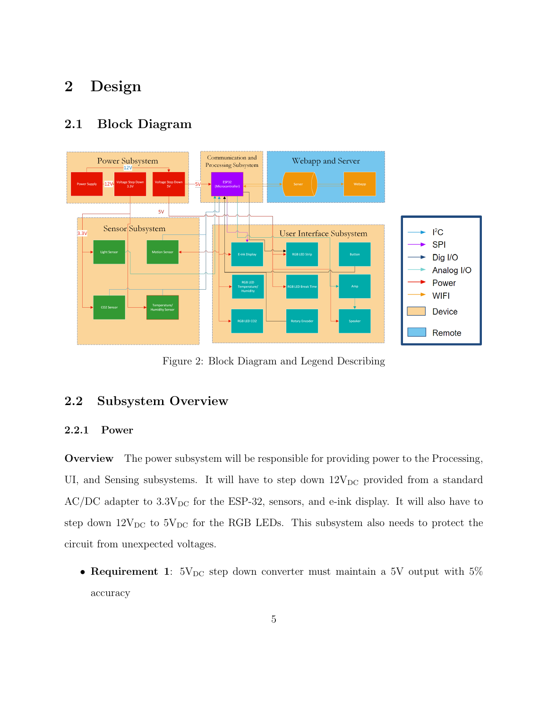## <span id="page-5-0"></span>2 Design

### <span id="page-5-1"></span>2.1 Block Diagram



Figure 2: Block Diagram and Legend Describing

## <span id="page-5-2"></span>2.2 Subsystem Overview

#### <span id="page-5-3"></span>2.2.1 Power

Overview The power subsystem will be responsible for providing power to the Processing, UI, and Sensing subsystems. It will have to step down  $12V_{DC}$  provided from a standard  $AC/DC$  adapter to  $3.3V_{DC}$  for the ESP-32, sensors, and e-ink display. It will also have to step down  $12V_{DC}$  to  $5V_{DC}$  for the RGB LEDs. This subsystem also needs to protect the circuit from unexpected voltages.

• Requirement 1:  $5V_{DC}$  step down converter must maintain a 5V output with  $5\%$ accuracy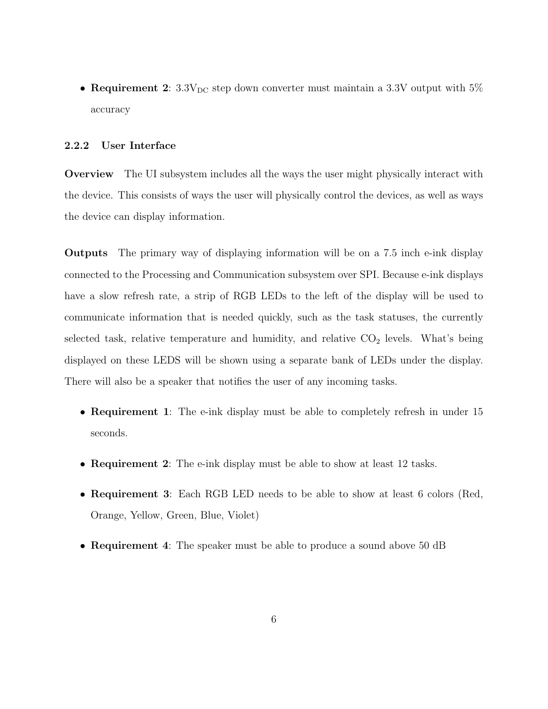• Requirement 2:  $3.3V_{DC}$  step down converter must maintain a 3.3V output with  $5\%$ accuracy

#### <span id="page-6-0"></span>2.2.2 User Interface

Overview The UI subsystem includes all the ways the user might physically interact with the device. This consists of ways the user will physically control the devices, as well as ways the device can display information.

Outputs The primary way of displaying information will be on a 7.5 inch e-ink display connected to the Processing and Communication subsystem over SPI. Because e-ink displays have a slow refresh rate, a strip of RGB LEDs to the left of the display will be used to communicate information that is needed quickly, such as the task statuses, the currently selected task, relative temperature and humidity, and relative  $CO<sub>2</sub>$  levels. What's being displayed on these LEDS will be shown using a separate bank of LEDs under the display. There will also be a speaker that notifies the user of any incoming tasks.

- Requirement 1: The e-ink display must be able to completely refresh in under 15 seconds.
- Requirement 2: The e-ink display must be able to show at least 12 tasks.
- Requirement 3: Each RGB LED needs to be able to show at least 6 colors (Red, Orange, Yellow, Green, Blue, Violet)
- Requirement 4: The speaker must be able to produce a sound above 50 dB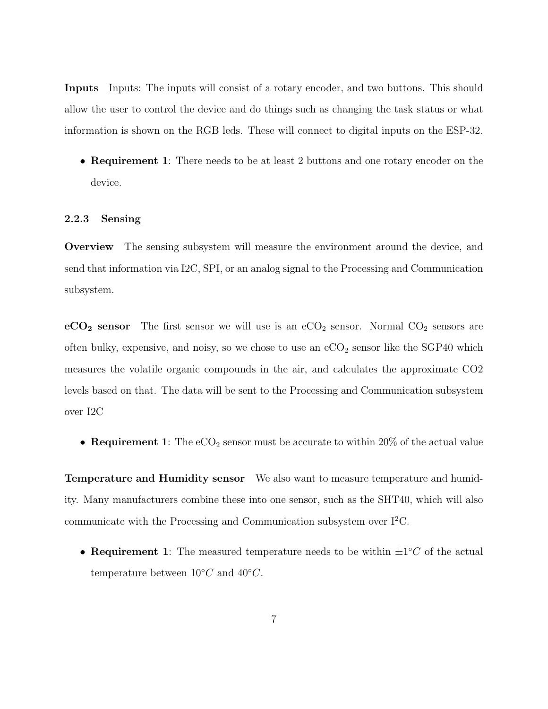Inputs Inputs: The inputs will consist of a rotary encoder, and two buttons. This should allow the user to control the device and do things such as changing the task status or what information is shown on the RGB leds. These will connect to digital inputs on the ESP-32.

• Requirement 1: There needs to be at least 2 buttons and one rotary encoder on the device.

#### <span id="page-7-0"></span>2.2.3 Sensing

Overview The sensing subsystem will measure the environment around the device, and send that information via I2C, SPI, or an analog signal to the Processing and Communication subsystem.

 $eCO<sub>2</sub>$  sensor The first sensor we will use is an  $eCO<sub>2</sub>$  sensor. Normal  $CO<sub>2</sub>$  sensors are often bulky, expensive, and noisy, so we chose to use an  $eCO<sub>2</sub>$  sensor like the SGP40 which measures the volatile organic compounds in the air, and calculates the approximate CO2 levels based on that. The data will be sent to the Processing and Communication subsystem over I2C

• Requirement 1: The  $eCO<sub>2</sub>$  sensor must be accurate to within 20% of the actual value

Temperature and Humidity sensor We also want to measure temperature and humidity. Many manufacturers combine these into one sensor, such as the SHT40, which will also communicate with the Processing and Communication subsystem over  $I^2C$ .

• Requirement 1: The measured temperature needs to be within  $\pm 1^{\circ}C$  of the actual temperature between  $10°C$  and  $40°C$ .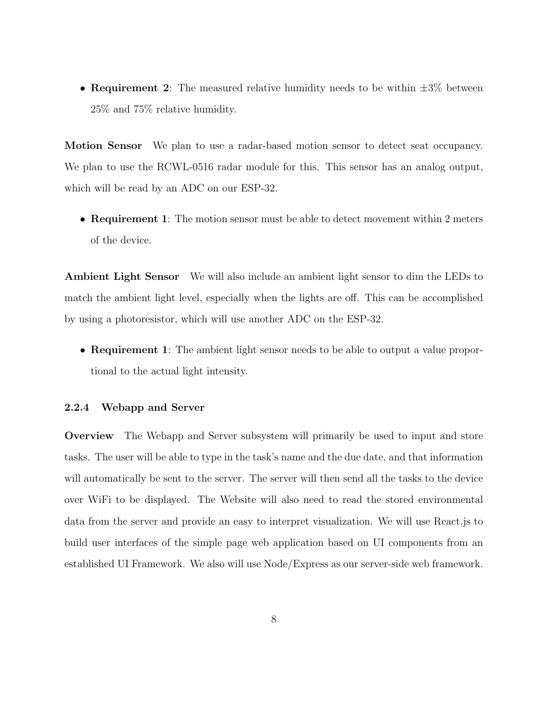• Requirement 2: The measured relative humidity needs to be within  $\pm 3\%$  between 25% and 75% relative humidity.

Motion Sensor We plan to use a radar-based motion sensor to detect seat occupancy. We plan to use the RCWL-0516 radar module for this. This sensor has an analog output, which will be read by an ADC on our ESP-32.

• Requirement 1: The motion sensor must be able to detect movement within 2 meters of the device.

Ambient Light Sensor We will also include an ambient light sensor to dim the LEDs to match the ambient light level, especially when the lights are off. This can be accomplished by using a photoresistor, which will use another ADC on the ESP-32.

• **Requirement 1**: The ambient light sensor needs to be able to output a value proportional to the actual light intensity.

#### <span id="page-8-0"></span>2.2.4 Webapp and Server

Overview The Webapp and Server subsystem will primarily be used to input and store tasks. The user will be able to type in the task's name and the due date, and that information will automatically be sent to the server. The server will then send all the tasks to the device over WiFi to be displayed. The Website will also need to read the stored environmental data from the server and provide an easy to interpret visualization. We will use React.js to build user interfaces of the simple page web application based on UI components from an established UI Framework. We also will use Node/Express as our server-side web framework.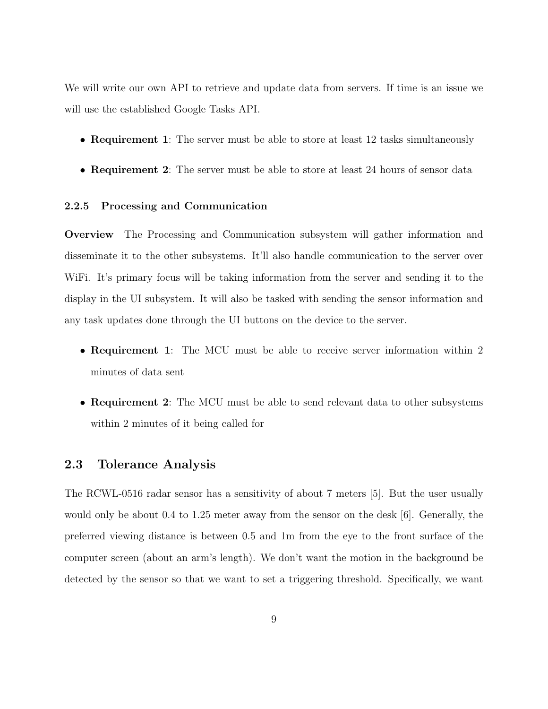We will write our own API to retrieve and update data from servers. If time is an issue we will use the established Google Tasks API.

- Requirement 1: The server must be able to store at least 12 tasks simultaneously
- Requirement 2: The server must be able to store at least 24 hours of sensor data

#### <span id="page-9-0"></span>2.2.5 Processing and Communication

Overview The Processing and Communication subsystem will gather information and disseminate it to the other subsystems. It'll also handle communication to the server over WiFi. It's primary focus will be taking information from the server and sending it to the display in the UI subsystem. It will also be tasked with sending the sensor information and any task updates done through the UI buttons on the device to the server.

- Requirement 1: The MCU must be able to receive server information within 2 minutes of data sent
- Requirement 2: The MCU must be able to send relevant data to other subsystems within 2 minutes of it being called for

#### <span id="page-9-1"></span>2.3 Tolerance Analysis

The RCWL-0516 radar sensor has a sensitivity of about 7 meters [5]. But the user usually would only be about 0.4 to 1.25 meter away from the sensor on the desk [6]. Generally, the preferred viewing distance is between 0.5 and 1m from the eye to the front surface of the computer screen (about an arm's length). We don't want the motion in the background be detected by the sensor so that we want to set a triggering threshold. Specifically, we want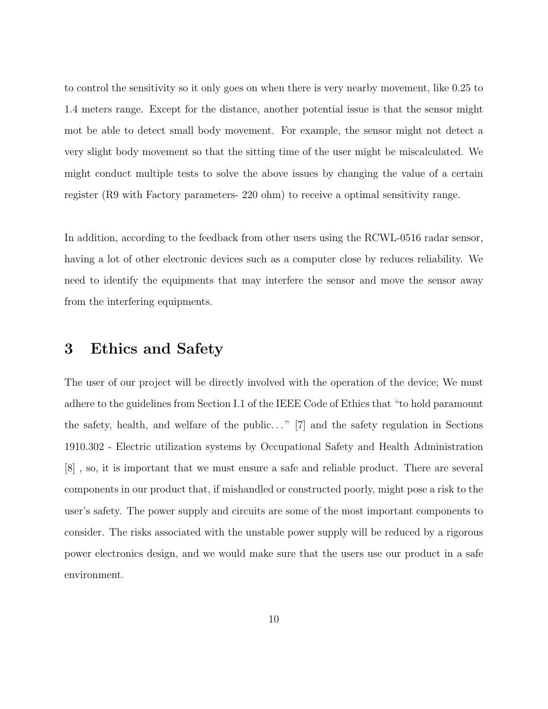to control the sensitivity so it only goes on when there is very nearby movement, like 0.25 to 1.4 meters range. Except for the distance, another potential issue is that the sensor might mot be able to detect small body movement. For example, the sensor might not detect a very slight body movement so that the sitting time of the user might be miscalculated. We might conduct multiple tests to solve the above issues by changing the value of a certain register (R9 with Factory parameters- 220 ohm) to receive a optimal sensitivity range.

In addition, according to the feedback from other users using the RCWL-0516 radar sensor, having a lot of other electronic devices such as a computer close by reduces reliability. We need to identify the equipments that may interfere the sensor and move the sensor away from the interfering equipments.

## <span id="page-10-0"></span>3 Ethics and Safety

The user of our project will be directly involved with the operation of the device; We must adhere to the guidelines from Section I.1 of the IEEE Code of Ethics that "to hold paramount the safety, health, and welfare of the public..."  $[7]$  and the safety regulation in Sections 1910.302 - Electric utilization systems by Occupational Safety and Health Administration [8] , so, it is important that we must ensure a safe and reliable product. There are several components in our product that, if mishandled or constructed poorly, might pose a risk to the user's safety. The power supply and circuits are some of the most important components to consider. The risks associated with the unstable power supply will be reduced by a rigorous power electronics design, and we would make sure that the users use our product in a safe environment.